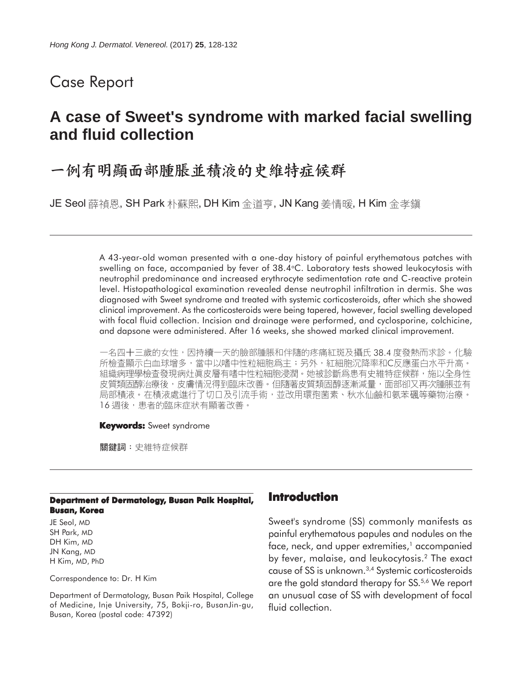## Case Report

# **A case of Sweet's syndrome with marked facial swelling and fluid collection**

## 一例有明顯面部腫脹並積液的史維特症候群

JE Seol 薛禎恩, SH Park 朴蘇熙, DH Kim 金道亨, JN Kang 姜情暖, H Kim 金孝鎭

A 43-year-old woman presented with a one-day history of painful erythematous patches with swelling on face, accompanied by fever of  $38.4$  °C. Laboratory tests showed leukocytosis with neutrophil predominance and increased erythrocyte sedimentation rate and C-reactive protein level. Histopathological examination revealed dense neutrophil infiltration in dermis. She was diagnosed with Sweet syndrome and treated with systemic corticosteroids, after which she showed clinical improvement. As the corticosteroids were being tapered, however, facial swelling developed with focal fluid collection. Incision and drainage were performed, and cyclosporine, colchicine, and dapsone were administered. After 16 weeks, she showed marked clinical improvement.

一名四十三歲的女性,因持續一天的臉部腫脹和伴隨的疼痛紅斑及攝氏 38.4 度發熱而求診。化驗 所檢查顯示白血球增多,當中以嗜中性粒細胞爲主;另外,紅細胞沉降率和C反應蛋白水平升高。 組織病理學檢查發現病灶眞皮層有嗜中性粒細胞浸潤。她被診斷爲患有史維特症候群,施以全身性 皮質類固醇治療後,皮膚情況得到臨床改善。但隨著皮質類固醇逐漸減量,面部卻又再次腫脹並有 局部積液。在積液處進行了切口及引流手術,並改用環孢菌素、秋水仙鹼和氨苯碸等藥物治療。 16 週後, 患者的臨床症狀有顯著改善。

#### **Keywords:** Sweet syndrome

關鍵詞:史維特症候群

#### **Department of Dermatology, Busan Paik Hospital, Busan, Korea**

JE Seol, MD SH Park, MD DH Kim, MD JN Kang, MD H Kim, MD, PhD

Correspondence to: Dr. H Kim

Department of Dermatology, Busan Paik Hospital, College of Medicine, Inje University, 75, Bokji-ro, BusanJin-gu, Busan, Korea (postal code: 47392)

### **Introduction**

Sweet's syndrome (SS) commonly manifests as painful erythematous papules and nodules on the face, neck, and upper extremities, $1$  accompanied by fever, malaise, and leukocytosis.2 The exact cause of SS is unknown.3,4 Systemic corticosteroids are the gold standard therapy for SS.5,6 We report an unusual case of SS with development of focal fluid collection.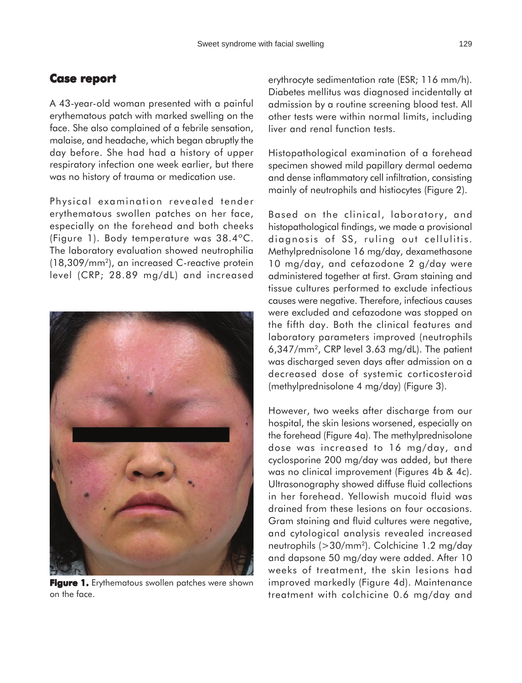### **Case report Case report**

A 43-year-old woman presented with a painful erythematous patch with marked swelling on the face. She also complained of a febrile sensation, malaise, and headache, which began abruptly the day before. She had had a history of upper respiratory infection one week earlier, but there was no history of trauma or medication use.

Physical examination revealed tender erythematous swollen patches on her face, especially on the forehead and both cheeks (Figure 1). Body temperature was 38.4ºC. The laboratory evaluation showed neutrophilia (18,309/mm2), an increased C-reactive protein level (CRP; 28.89 mg/dL) and increased



**Figure 1.** Erythematous swollen patches were shown on the face.

erythrocyte sedimentation rate (ESR; 116 mm/h). Diabetes mellitus was diagnosed incidentally at admission by a routine screening blood test. All other tests were within normal limits, including liver and renal function tests.

Histopathological examination of a forehead specimen showed mild papillary dermal oedema and dense inflammatory cell infiltration, consisting mainly of neutrophils and histiocytes (Figure 2).

Based on the clinical, laboratory, and histopathological findings, we made a provisional diagnosis of SS, ruling out cellulitis. Methylprednisolone 16 mg/day, dexamethasone 10 mg/day, and cefazodone 2 g/day were administered together at first. Gram staining and tissue cultures performed to exclude infectious causes were negative. Therefore, infectious causes were excluded and cefazodone was stopped on the fifth day. Both the clinical features and laboratory parameters improved (neutrophils 6,347/mm2, CRP level 3.63 mg/dL). The patient was discharged seven days after admission on a decreased dose of systemic corticosteroid (methylprednisolone 4 mg/day) (Figure 3).

However, two weeks after discharge from our hospital, the skin lesions worsened, especially on the forehead (Figure 4a). The methylprednisolone dose was increased to 16 mg/day, and cyclosporine 200 mg/day was added, but there was no clinical improvement (Figures 4b & 4c). Ultrasonography showed diffuse fluid collections in her forehead. Yellowish mucoid fluid was drained from these lesions on four occasions. Gram staining and fluid cultures were negative, and cytological analysis revealed increased neutrophils (>30/mm2). Colchicine 1.2 mg/day and dapsone 50 mg/day were added. After 10 weeks of treatment, the skin lesions had improved markedly (Figure 4d). Maintenance treatment with colchicine 0.6 mg/day and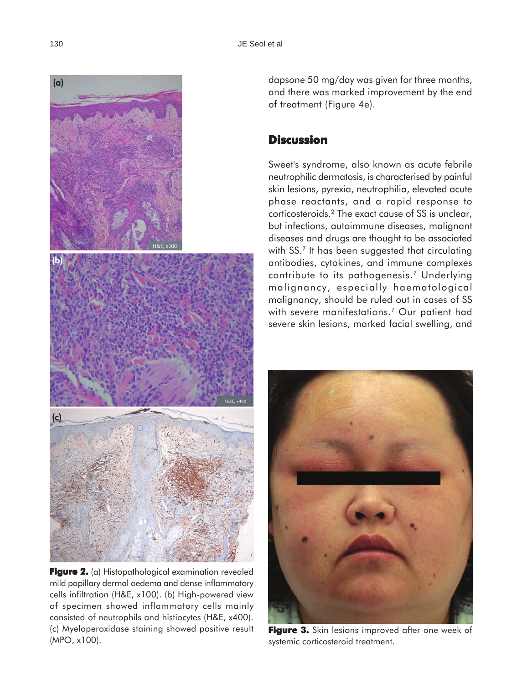

**Figure 2. 2.** (a) Histopathological examination revealed mild papillary dermal oedema and dense inflammatory cells infiltration (H&E, x100). (b) High-powered view of specimen showed inflammatory cells mainly consisted of neutrophils and histiocytes (H&E, x400). (c) Myeloperoxidase staining showed positive result (MPO, x100).

dapsone 50 mg/day was given for three months, and there was marked improvement by the end of treatment (Figure 4e).

### **Discussion**

Sweet's syndrome, also known as acute febrile neutrophilic dermatosis, is characterised by painful skin lesions, pyrexia, neutrophilia, elevated acute phase reactants, and a rapid response to corticosteroids.2 The exact cause of SS is unclear, but infections, autoimmune diseases, malignant diseases and drugs are thought to be associated with SS.<sup>7</sup> It has been suggested that circulating antibodies, cytokines, and immune complexes contribute to its pathogenesis.<sup>7</sup> Underlying malignancy, especially haematological malignancy, should be ruled out in cases of SS with severe manifestations.<sup>7</sup> Our patient had severe skin lesions, marked facial swelling, and



**Figure 3. Figure 3.** Skin lesions improved after one week of systemic corticosteroid treatment.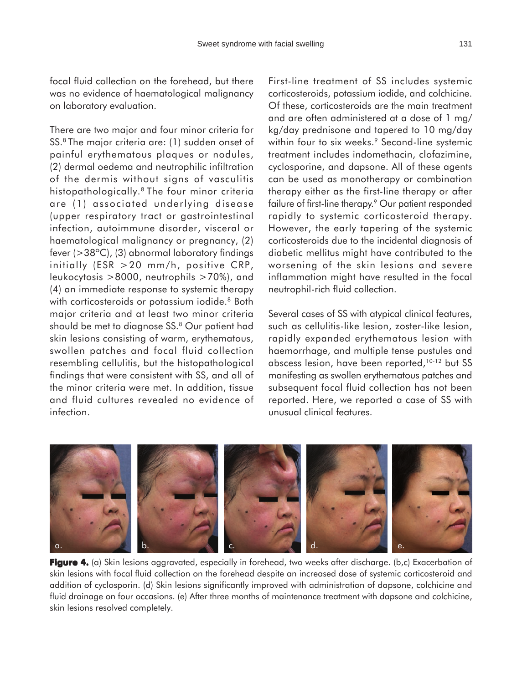focal fluid collection on the forehead, but there was no evidence of haematological malignancy on laboratory evaluation.

There are two major and four minor criteria for SS.8 The major criteria are: (1) sudden onset of painful erythematous plaques or nodules, (2) dermal oedema and neutrophilic infiltration of the dermis without signs of vasculitis histopathologically.8 The four minor criteria are (1) associated underlying disease (upper respiratory tract or gastrointestinal infection, autoimmune disorder, visceral or haematological malignancy or pregnancy, (2) fever (>38ºC), (3) abnormal laboratory findings initially (ESR >20 mm/h, positive CRP, leukocytosis >8000, neutrophils >70%), and (4) an immediate response to systemic therapy with corticosteroids or potassium iodide.<sup>8</sup> Both major criteria and at least two minor criteria should be met to diagnose SS.<sup>8</sup> Our patient had skin lesions consisting of warm, erythematous, swollen patches and focal fluid collection resembling cellulitis, but the histopathological findings that were consistent with SS, and all of the minor criteria were met. In addition, tissue and fluid cultures revealed no evidence of infection.

First-line treatment of SS includes systemic corticosteroids, potassium iodide, and colchicine. Of these, corticosteroids are the main treatment and are often administered at a dose of 1 mg/ kg/day prednisone and tapered to 10 mg/day within four to six weeks.<sup>9</sup> Second-line systemic treatment includes indomethacin, clofazimine, cyclosporine, and dapsone. All of these agents can be used as monotherapy or combination therapy either as the first-line therapy or after failure of first-line therapy.<sup>9</sup> Our patient responded rapidly to systemic corticosteroid therapy. However, the early tapering of the systemic corticosteroids due to the incidental diagnosis of diabetic mellitus might have contributed to the worsening of the skin lesions and severe inflammation might have resulted in the focal neutrophil-rich fluid collection.

Several cases of SS with atypical clinical features, such as cellulitis-like lesion, zoster-like lesion, rapidly expanded erythematous lesion with haemorrhage, and multiple tense pustules and abscess lesion, have been reported, 10-12 but SS manifesting as swollen erythematous patches and subsequent focal fluid collection has not been reported. Here, we reported a case of SS with unusual clinical features.



**Figure 4.** (a) Skin lesions aggravated, especially in forehead, two weeks after discharge. (b,c) Exacerbation of skin lesions with focal fluid collection on the forehead despite an increased dose of systemic corticosteroid and addition of cyclosporin. (d) Skin lesions significantly improved with administration of dapsone, colchicine and fluid drainage on four occasions. (e) After three months of maintenance treatment with dapsone and colchicine, skin lesions resolved completely.